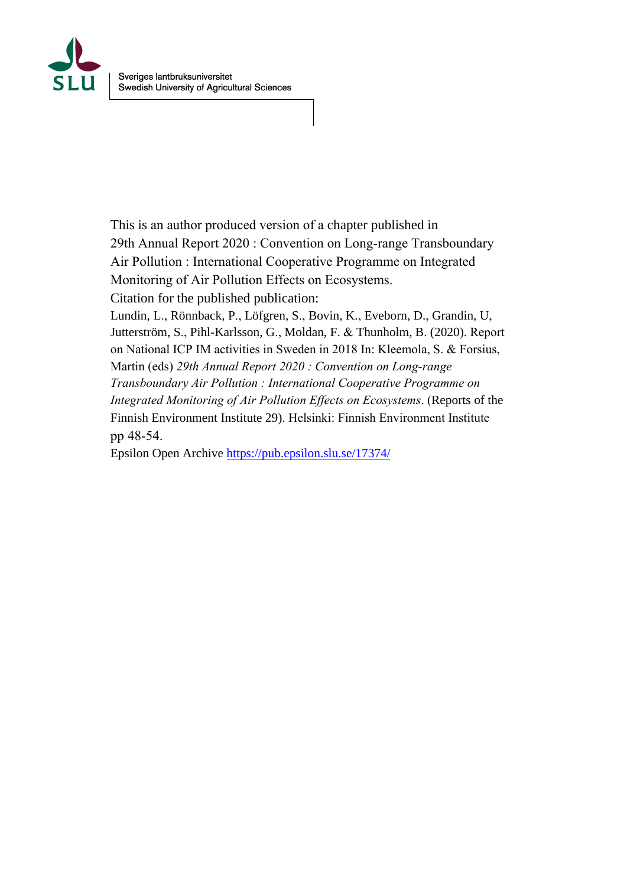

This is an author produced version of a chapter published in 29th Annual Report 2020 : Convention on Long-range Transboundary Air Pollution : International Cooperative Programme on Integrated Monitoring of Air Pollution Effects on Ecosystems. Citation for the published publication: Lundin, L., Rönnback, P., Löfgren, S., Bovin, K., Eveborn, D., Grandin, U, Jutterström, S., Pihl-Karlsson, G., Moldan, F. & Thunholm, B. (2020). Report on National ICP IM a[ctivities in Sweden in 2018 In: Kle](https://pub.epsilon.slu.se/17374/)emola, S. & Forsius, Martin (eds) *29th Annual Report 2020 : Convention on Long-range Transboundary Air Pollution : International Cooperative Programme on Integrated Monitoring of Air Pollution Effects on Ecosystems*. (Reports of the Finnish Environment Institute 29). Helsinki: Finnish Environment Institute pp 48-54. Epsilon Open Archive https://pub.epsilon.slu.se/17374/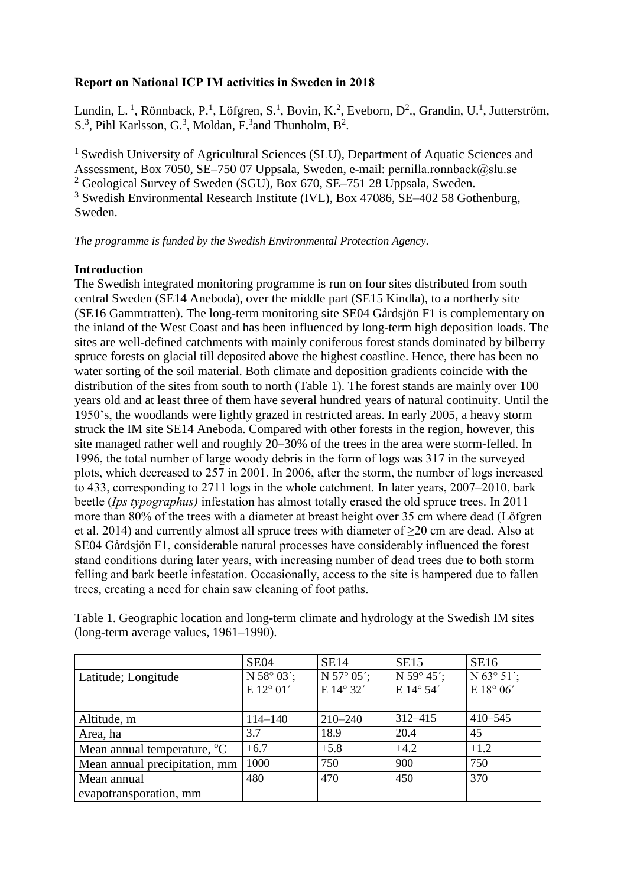# **Report on National ICP IM activities in Sweden in 2018**

Lundin, L.<sup>1</sup>, Rönnback, P.<sup>1</sup>, Löfgren, S.<sup>1</sup>, Bovin, K.<sup>2</sup>, Eveborn, D<sup>2</sup>., Grandin, U.<sup>1</sup>, Jutterström, S.<sup>3</sup>, Pihl Karlsson, G.<sup>3</sup>, Moldan, F.<sup>3</sup> and Thunholm, B<sup>2</sup>.

<sup>1</sup> Swedish University of Agricultural Sciences (SLU), Department of Aquatic Sciences and Assessment, Box 7050, SE–750 07 Uppsala, Sweden, e-mail: pernilla.ronnback@slu.se <sup>2</sup> Geological Survey of Sweden (SGU), Box 670, SE–751 28 Uppsala, Sweden. <sup>3</sup> Swedish Environmental Research Institute (IVL), Box 47086, SE–402 58 Gothenburg, Sweden.

*The programme is funded by the Swedish Environmental Protection Agency.*

## **Introduction**

The Swedish integrated monitoring programme is run on four sites distributed from south central Sweden (SE14 Aneboda), over the middle part (SE15 Kindla), to a northerly site (SE16 Gammtratten). The long-term monitoring site SE04 Gårdsjön F1 is complementary on the inland of the West Coast and has been influenced by long-term high deposition loads. The sites are well-defined catchments with mainly coniferous forest stands dominated by bilberry spruce forests on glacial till deposited above the highest coastline. Hence, there has been no water sorting of the soil material. Both climate and deposition gradients coincide with the distribution of the sites from south to north (Table 1). The forest stands are mainly over 100 years old and at least three of them have several hundred years of natural continuity. Until the 1950's, the woodlands were lightly grazed in restricted areas. In early 2005, a heavy storm struck the IM site SE14 Aneboda. Compared with other forests in the region, however, this site managed rather well and roughly 20–30% of the trees in the area were storm-felled. In 1996, the total number of large woody debris in the form of logs was 317 in the surveyed plots, which decreased to 257 in 2001. In 2006, after the storm, the number of logs increased to 433, corresponding to 2711 logs in the whole catchment. In later years, 2007–2010, bark beetle (*Ips typographus)* infestation has almost totally erased the old spruce trees. In 2011 more than 80% of the trees with a diameter at breast height over 35 cm where dead (Löfgren et al. 2014) and currently almost all spruce trees with diameter of ≥20 cm are dead. Also at SE04 Gårdsjön F1, considerable natural processes have considerably influenced the forest stand conditions during later years, with increasing number of dead trees due to both storm felling and bark beetle infestation. Occasionally, access to the site is hampered due to fallen trees, creating a need for chain saw cleaning of foot paths.

|                                         | <b>SE04</b> | <b>SE14</b> | <b>SE15</b> | <b>SE16</b>         |
|-----------------------------------------|-------------|-------------|-------------|---------------------|
| Latitude; Longitude                     | N 58° 03';  | N 57° 05';  | N 59° 45';  | $N 63^{\circ} 51';$ |
|                                         | E 12° 01'   | E 14° 32'   | E 14° 54'   | E 18° 06'           |
|                                         |             |             |             |                     |
| Altitude, m                             | $114 - 140$ | $210 - 240$ | 312-415     | $410 - 545$         |
| Area, ha                                | 3.7         | 18.9        | 20.4        | 45                  |
| Mean annual temperature, <sup>o</sup> C | $+6.7$      | $+5.8$      | $+4.2$      | $+1.2$              |
| Mean annual precipitation, mm           | 1000        | 750         | 900         | 750                 |
| Mean annual                             | 480         | 470         | 450         | 370                 |
| evapotransporation, mm                  |             |             |             |                     |

Table 1. Geographic location and long-term climate and hydrology at the Swedish IM sites (long-term average values, 1961–1990).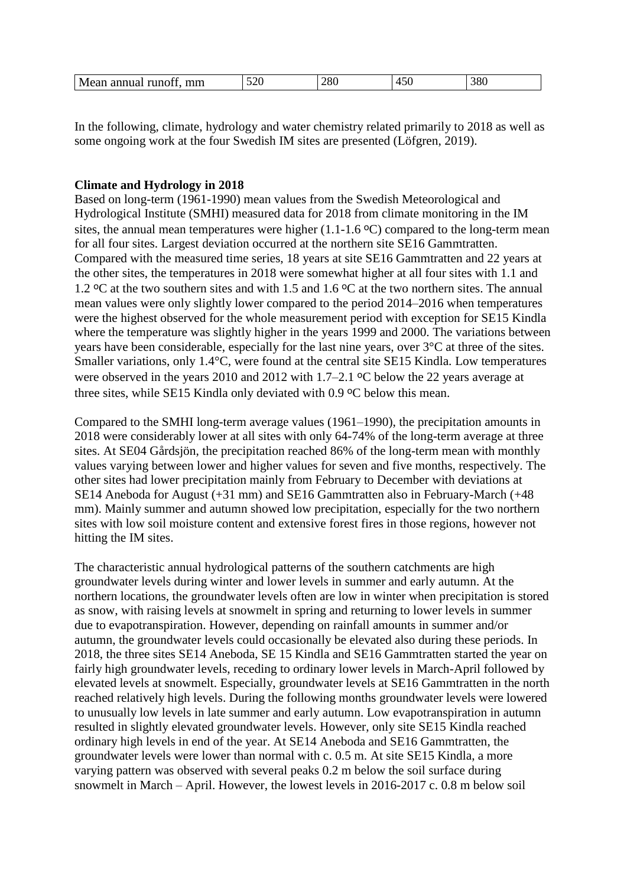| 380<br>00<br>∩∩<br>$\sim$<br>$M_f$<br>mm<br>∠o∪<br>. ишшат гипот.<br>∪∠ر<br>$\sim$ $\sim$<br><b>IVIUWAL</b> |
|-------------------------------------------------------------------------------------------------------------|
|-------------------------------------------------------------------------------------------------------------|

In the following, climate, hydrology and water chemistry related primarily to 2018 as well as some ongoing work at the four Swedish IM sites are presented (Löfgren, 2019).

## **Climate and Hydrology in 2018**

Based on long-term (1961-1990) mean values from the Swedish Meteorological and Hydrological Institute (SMHI) measured data for 2018 from climate monitoring in the IM sites, the annual mean temperatures were higher  $(1.1\n-1.6 \degree C)$  compared to the long-term mean for all four sites. Largest deviation occurred at the northern site SE16 Gammtratten. Compared with the measured time series, 18 years at site SE16 Gammtratten and 22 years at the other sites, the temperatures in 2018 were somewhat higher at all four sites with 1.1 and 1.2  $\rm{^{\circ}C}$  at the two southern sites and with 1.5 and 1.6  $\rm{^{\circ}C}$  at the two northern sites. The annual mean values were only slightly lower compared to the period 2014–2016 when temperatures were the highest observed for the whole measurement period with exception for SE15 Kindla where the temperature was slightly higher in the years 1999 and 2000. The variations between years have been considerable, especially for the last nine years, over 3°C at three of the sites. Smaller variations, only 1.4°C, were found at the central site SE15 Kindla. Low temperatures were observed in the years 2010 and 2012 with  $1.7-2.1$  °C below the 22 years average at three sites, while SE15 Kindla only deviated with  $0.9 \degree C$  below this mean.

Compared to the SMHI long-term average values (1961–1990), the precipitation amounts in 2018 were considerably lower at all sites with only 64-74% of the long-term average at three sites. At SE04 Gårdsjön, the precipitation reached 86% of the long-term mean with monthly values varying between lower and higher values for seven and five months, respectively. The other sites had lower precipitation mainly from February to December with deviations at SE14 Aneboda for August (+31 mm) and SE16 Gammtratten also in February-March (+48 mm). Mainly summer and autumn showed low precipitation, especially for the two northern sites with low soil moisture content and extensive forest fires in those regions, however not hitting the IM sites.

The characteristic annual hydrological patterns of the southern catchments are high groundwater levels during winter and lower levels in summer and early autumn. At the northern locations, the groundwater levels often are low in winter when precipitation is stored as snow, with raising levels at snowmelt in spring and returning to lower levels in summer due to evapotranspiration. However, depending on rainfall amounts in summer and/or autumn, the groundwater levels could occasionally be elevated also during these periods. In 2018, the three sites SE14 Aneboda, SE 15 Kindla and SE16 Gammtratten started the year on fairly high groundwater levels, receding to ordinary lower levels in March-April followed by elevated levels at snowmelt. Especially, groundwater levels at SE16 Gammtratten in the north reached relatively high levels. During the following months groundwater levels were lowered to unusually low levels in late summer and early autumn. Low evapotranspiration in autumn resulted in slightly elevated groundwater levels. However, only site SE15 Kindla reached ordinary high levels in end of the year. At SE14 Aneboda and SE16 Gammtratten, the groundwater levels were lower than normal with c. 0.5 m. At site SE15 Kindla, a more varying pattern was observed with several peaks 0.2 m below the soil surface during snowmelt in March – April. However, the lowest levels in 2016-2017 c. 0.8 m below soil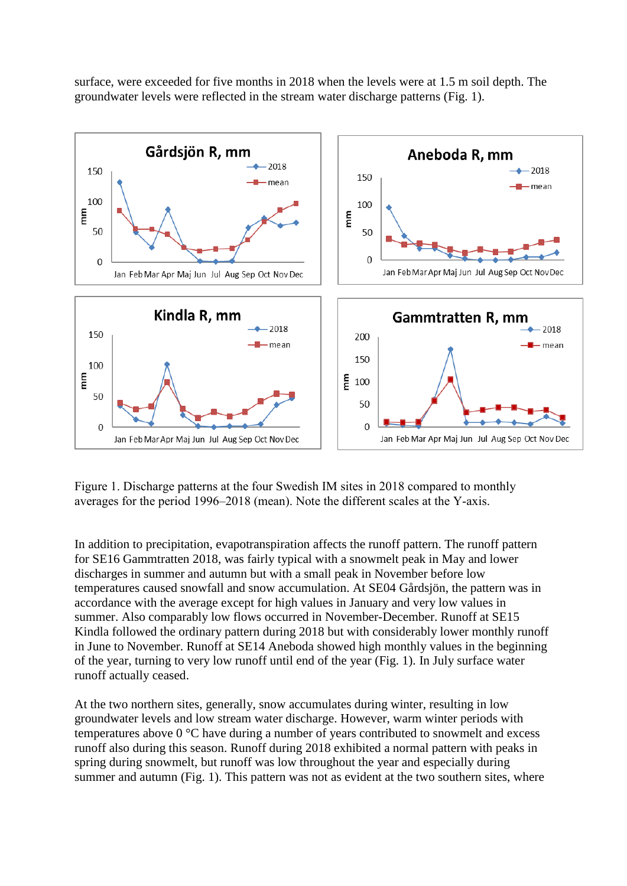surface, were exceeded for five months in 2018 when the levels were at 1.5 m soil depth. The groundwater levels were reflected in the stream water discharge patterns (Fig. 1).



Figure 1. Discharge patterns at the four Swedish IM sites in 2018 compared to monthly averages for the period 1996–2018 (mean). Note the different scales at the Y-axis.

In addition to precipitation, evapotranspiration affects the runoff pattern. The runoff pattern for SE16 Gammtratten 2018, was fairly typical with a snowmelt peak in May and lower discharges in summer and autumn but with a small peak in November before low temperatures caused snowfall and snow accumulation. At SE04 Gårdsjön, the pattern was in accordance with the average except for high values in January and very low values in summer. Also comparably low flows occurred in November-December. Runoff at SE15 Kindla followed the ordinary pattern during 2018 but with considerably lower monthly runoff in June to November. Runoff at SE14 Aneboda showed high monthly values in the beginning of the year, turning to very low runoff until end of the year (Fig. 1). In July surface water runoff actually ceased.

At the two northern sites, generally, snow accumulates during winter, resulting in low groundwater levels and low stream water discharge. However, warm winter periods with temperatures above 0 °C have during a number of years contributed to snowmelt and excess runoff also during this season. Runoff during 2018 exhibited a normal pattern with peaks in spring during snowmelt, but runoff was low throughout the year and especially during summer and autumn (Fig. 1). This pattern was not as evident at the two southern sites, where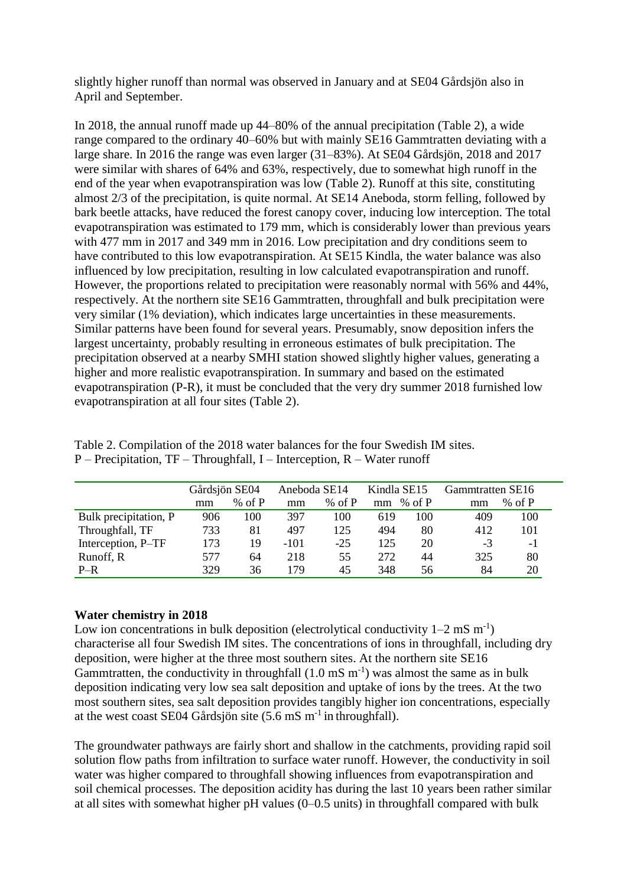slightly higher runoff than normal was observed in January and at SE04 Gårdsjön also in April and September.

In 2018, the annual runoff made up 44–80% of the annual precipitation (Table 2), a wide range compared to the ordinary 40–60% but with mainly SE16 Gammtratten deviating with a large share. In 2016 the range was even larger (31–83%). At SE04 Gårdsjön, 2018 and 2017 were similar with shares of 64% and 63%, respectively, due to somewhat high runoff in the end of the year when evapotranspiration was low (Table 2). Runoff at this site, constituting almost 2/3 of the precipitation, is quite normal. At SE14 Aneboda, storm felling, followed by bark beetle attacks, have reduced the forest canopy cover, inducing low interception. The total evapotranspiration was estimated to 179 mm, which is considerably lower than previous years with 477 mm in 2017 and 349 mm in 2016. Low precipitation and dry conditions seem to have contributed to this low evapotranspiration. At SE15 Kindla, the water balance was also influenced by low precipitation, resulting in low calculated evapotranspiration and runoff. However, the proportions related to precipitation were reasonably normal with 56% and 44%, respectively. At the northern site SE16 Gammtratten, throughfall and bulk precipitation were very similar (1% deviation), which indicates large uncertainties in these measurements. Similar patterns have been found for several years. Presumably, snow deposition infers the largest uncertainty, probably resulting in erroneous estimates of bulk precipitation. The precipitation observed at a nearby SMHI station showed slightly higher values, generating a higher and more realistic evapotranspiration. In summary and based on the estimated evapotranspiration (P-R), it must be concluded that the very dry summer 2018 furnished low evapotranspiration at all four sites (Table 2).

Table 2. Compilation of the 2018 water balances for the four Swedish IM sites. P – Precipitation, TF – Throughfall, I – Interception, R – Water runoff

|                       | Gårdsjön SE04 |          | Aneboda SE14 |          | Kindla SE15 |          | Gammtratten SE16 |          |
|-----------------------|---------------|----------|--------------|----------|-------------|----------|------------------|----------|
|                       | mm            | $%$ of P | mm           | $%$ of P | mm          | % of $P$ | mm               | % of $P$ |
| Bulk precipitation, P | 906           | 100      | 397          | 100      | 619         | 100      | 409              | 100      |
| Throughfall, TF       | 733           | 81       | 497          | 125      | 494         | 80       | 412              | 101      |
| Interception, P-TF    | 173           | 19       | $-101$       | $-25$    | 125         | 20       | -3               | $-1$     |
| Runoff, R             | 577           | 64       | 218          | 55       | 272         | 44       | 325              | 80       |
| $P-R$                 | 329           | 36       | 179          | 45       | 348         | 56       | 84               | 20       |

## **Water chemistry in 2018**

Low ion concentrations in bulk deposition (electrolytical conductivity  $1-2$  mS m<sup>-1</sup>) characterise all four Swedish IM sites. The concentrations of ions in throughfall, including dry deposition, were higher at the three most southern sites. At the northern site SE16 Gammtratten, the conductivity in throughfall  $(1.0 \text{ mS m}^{-1})$  was almost the same as in bulk deposition indicating very low sea salt deposition and uptake of ions by the trees. At the two most southern sites, sea salt deposition provides tangibly higher ion concentrations, especially at the west coast SE04 Gårdsjön site  $(5.6 \text{ mS m}^{-1}$  in throughfall).

The groundwater pathways are fairly short and shallow in the catchments, providing rapid soil solution flow paths from infiltration to surface water runoff. However, the conductivity in soil water was higher compared to throughfall showing influences from evapotranspiration and soil chemical processes. The deposition acidity has during the last 10 years been rather similar at all sites with somewhat higher pH values (0–0.5 units) in throughfall compared with bulk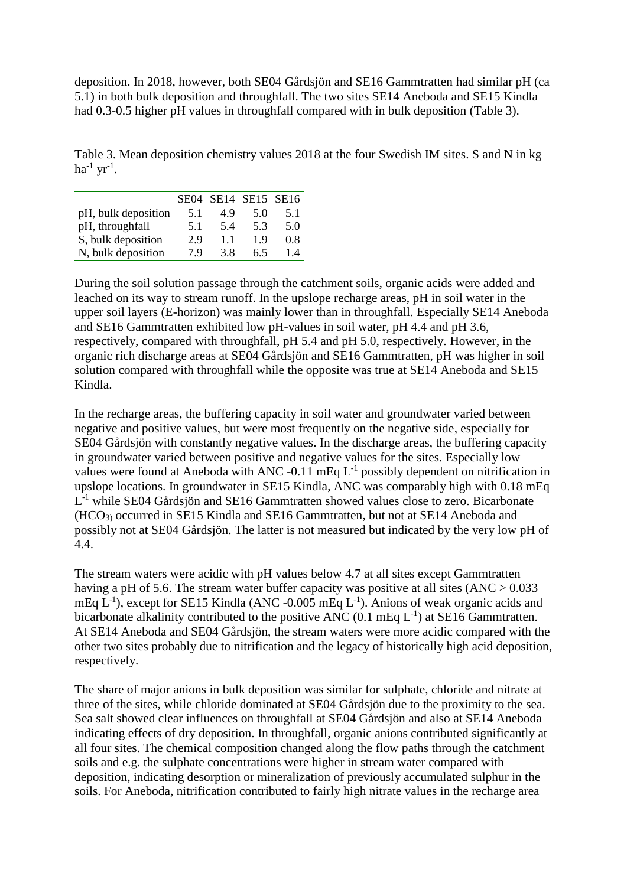deposition. In 2018, however, both SE04 Gårdsjön and SE16 Gammtratten had similar pH (ca 5.1) in both bulk deposition and throughfall. The two sites SE14 Aneboda and SE15 Kindla had 0.3-0.5 higher pH values in throughfall compared with in bulk deposition (Table 3).

Table 3. Mean deposition chemistry values 2018 at the four Swedish IM sites. S and N in kg ha<sup>-1</sup> yr<sup>-1</sup>.

|                     |     | SE04 SE14 SE15 SE16 |     |     |
|---------------------|-----|---------------------|-----|-----|
| pH, bulk deposition | 5.1 | 4.9                 | 5.0 | 5.1 |
| pH, throughfall     | 5.1 | 54                  | 5.3 | 5.0 |
| S, bulk deposition  | 2.9 | 1.1                 | 19  | 0.8 |
| N, bulk deposition  | 79  | 38                  | 65  | 14  |

During the soil solution passage through the catchment soils, organic acids were added and leached on its way to stream runoff. In the upslope recharge areas, pH in soil water in the upper soil layers (E-horizon) was mainly lower than in throughfall. Especially SE14 Aneboda and SE16 Gammtratten exhibited low pH-values in soil water, pH 4.4 and pH 3.6, respectively, compared with throughfall, pH 5.4 and pH 5.0, respectively. However, in the organic rich discharge areas at SE04 Gårdsjön and SE16 Gammtratten, pH was higher in soil solution compared with throughfall while the opposite was true at SE14 Aneboda and SE15 Kindla.

In the recharge areas, the buffering capacity in soil water and groundwater varied between negative and positive values, but were most frequently on the negative side, especially for SE04 Gårdsjön with constantly negative values. In the discharge areas, the buffering capacity in groundwater varied between positive and negative values for the sites. Especially low values were found at Aneboda with ANC  $-0.11 \text{ mEq } L^{-1}$  possibly dependent on nitrification in upslope locations. In groundwater in SE15 Kindla, ANC was comparably high with 0.18 mEq L<sup>-1</sup> while SE04 Gårdsjön and SE16 Gammtratten showed values close to zero. Bicarbonate (HCO3) occurred in SE15 Kindla and SE16 Gammtratten, but not at SE14 Aneboda and possibly not at SE04 Gårdsjön. The latter is not measured but indicated by the very low pH of 4.4.

The stream waters were acidic with pH values below 4.7 at all sites except Gammtratten having a pH of 5.6. The stream water buffer capacity was positive at all sites (ANC > 0.033 mEq  $L^{-1}$ ), except for SE15 Kindla (ANC -0.005 mEq  $L^{-1}$ ). Anions of weak organic acids and bicarbonate alkalinity contributed to the positive ANC (0.1 mEq  $L^{-1}$ ) at SE16 Gammtratten. At SE14 Aneboda and SE04 Gårdsjön, the stream waters were more acidic compared with the other two sites probably due to nitrification and the legacy of historically high acid deposition, respectively.

The share of major anions in bulk deposition was similar for sulphate, chloride and nitrate at three of the sites, while chloride dominated at SE04 Gårdsjön due to the proximity to the sea. Sea salt showed clear influences on throughfall at SE04 Gårdsjön and also at SE14 Aneboda indicating effects of dry deposition. In throughfall, organic anions contributed significantly at all four sites. The chemical composition changed along the flow paths through the catchment soils and e.g. the sulphate concentrations were higher in stream water compared with deposition, indicating desorption or mineralization of previously accumulated sulphur in the soils. For Aneboda, nitrification contributed to fairly high nitrate values in the recharge area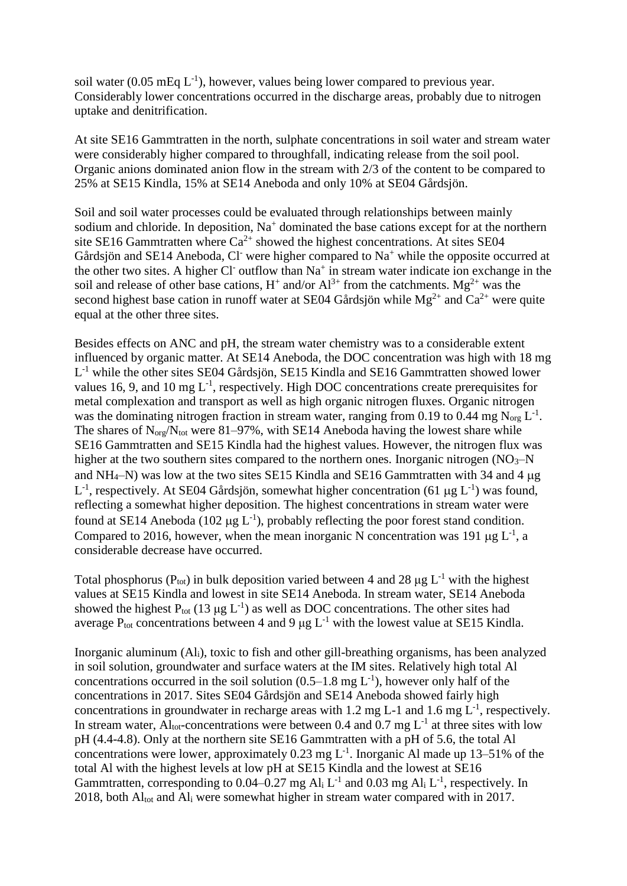soil water (0.05 mEq  $L^{-1}$ ), however, values being lower compared to previous year. Considerably lower concentrations occurred in the discharge areas, probably due to nitrogen uptake and denitrification.

At site SE16 Gammtratten in the north, sulphate concentrations in soil water and stream water were considerably higher compared to throughfall, indicating release from the soil pool. Organic anions dominated anion flow in the stream with 2/3 of the content to be compared to 25% at SE15 Kindla, 15% at SE14 Aneboda and only 10% at SE04 Gårdsjön.

Soil and soil water processes could be evaluated through relationships between mainly sodium and chloride. In deposition, Na<sup>+</sup> dominated the base cations except for at the northern site SE16 Gammtratten where  $Ca^{2+}$  showed the highest concentrations. At sites SE04 Gårdsjön and SE14 Aneboda, Cl- were higher compared to Na<sup>+</sup> while the opposite occurred at the other two sites. A higher Cl outflow than  $Na<sup>+</sup>$  in stream water indicate ion exchange in the soil and release of other base cations,  $H^+$  and/or  $Al^{3+}$  from the catchments. Mg<sup>2+</sup> was the second highest base cation in runoff water at SE04 Gårdsjön while  $Mg^{2+}$  and  $Ca^{2+}$  were quite equal at the other three sites.

Besides effects on ANC and pH, the stream water chemistry was to a considerable extent influenced by organic matter. At SE14 Aneboda, the DOC concentration was high with 18 mg  $L^{-1}$  while the other sites SE04 Gårdsjön, SE15 Kindla and SE16 Gammtratten showed lower values 16, 9, and 10 mg  $L^{-1}$ , respectively. High DOC concentrations create prerequisites for metal complexation and transport as well as high organic nitrogen fluxes. Organic nitrogen was the dominating nitrogen fraction in stream water, ranging from 0.19 to 0.44 mg  $N_{org} L^{-1}$ . The shares of  $N_{org}/N_{tot}$  were 81–97%, with SE14 Aneboda having the lowest share while SE16 Gammtratten and SE15 Kindla had the highest values. However, the nitrogen flux was higher at the two southern sites compared to the northern ones. Inorganic nitrogen  $(NO<sub>3</sub>–N)$ and  $NH_4-N$ ) was low at the two sites SE15 Kindla and SE16 Gammtratten with 34 and 4  $\mu$ g L<sup>-1</sup>, respectively. At SE04 Gårdsjön, somewhat higher concentration (61 µg L<sup>-1</sup>) was found, reflecting a somewhat higher deposition. The highest concentrations in stream water were found at SE14 Aneboda (102  $\mu$ g L<sup>-1</sup>), probably reflecting the poor forest stand condition. Compared to 2016, however, when the mean inorganic N concentration was 191  $\mu$ g L<sup>-1</sup>, a considerable decrease have occurred.

Total phosphorus ( $P_{tot}$ ) in bulk deposition varied between 4 and 28 μg L<sup>-1</sup> with the highest values at SE15 Kindla and lowest in site SE14 Aneboda. In stream water, SE14 Aneboda showed the highest  $P_{tot}$  (13 µg L<sup>-1</sup>) as well as DOC concentrations. The other sites had average  $P_{\text{tot}}$  concentrations between 4 and 9 μg L<sup>-1</sup> with the lowest value at SE15 Kindla.

Inorganic aluminum (Ali), toxic to fish and other gill-breathing organisms, has been analyzed in soil solution, groundwater and surface waters at the IM sites. Relatively high total Al concentrations occurred in the soil solution  $(0.5-1.8 \text{ mg L}^{-1})$ , however only half of the concentrations in 2017. Sites SE04 Gårdsjön and SE14 Aneboda showed fairly high concentrations in groundwater in recharge areas with 1.2 mg L-1 and 1.6 mg  $L^{-1}$ , respectively. In stream water, Al<sub>tot</sub>-concentrations were between 0.4 and 0.7 mg  $L^{-1}$  at three sites with low pH (4.4-4.8). Only at the northern site SE16 Gammtratten with a pH of 5.6, the total Al concentrations were lower, approximately  $0.23 \text{ mg L}^{-1}$ . Inorganic Al made up 13–51% of the total Al with the highest levels at low pH at SE15 Kindla and the lowest at SE16 Gammtratten, corresponding to 0.04–0.27 mg  $Al<sub>i</sub> L<sup>-1</sup>$  and 0.03 mg  $Al<sub>i</sub> L<sup>-1</sup>$ , respectively. In 2018, both Altot and Al<sup>i</sup> were somewhat higher in stream water compared with in 2017.